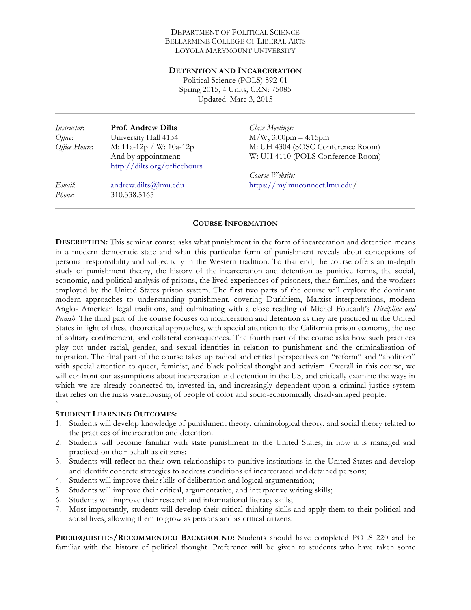#### DEPARTMENT OF POLITICAL SCIENCE BELLARMINE COLLEGE OF LIBERAL ARTS LOYOLA MARYMOUNT UNIVERSITY

#### **DETENTION AND INCARCERATION**

Political Science (POLS) 592-01 Spring 2015, 4 Units, CRN: 75085 Updated: Marc 3, 2015

| <i>Instructor</i> :<br>Office:<br>Office Hours: | <b>Prof. Andrew Dilts</b><br>University Hall 4134<br>M: 11a-12p / W: 10a-12p | Class Meetings:<br>$M/W$ , 3:00pm – 4:15pm<br>M: UH 4304 (SOSC Conference Room) |
|-------------------------------------------------|------------------------------------------------------------------------------|---------------------------------------------------------------------------------|
|                                                 | And by appointment:<br>http://dilts.org/officehours                          | W: UH 4110 (POLS Conference Room)<br>Course Website:                            |
| Email:<br>Phone:                                | andrew.dilts@lmu.edu<br>310.338.5165                                         | https://mylmuconnect.lmu.edu/                                                   |

### **COURSE INFORMATION**

**DESCRIPTION:** This seminar course asks what punishment in the form of incarceration and detention means in a modern democratic state and what this particular form of punishment reveals about conceptions of personal responsibility and subjectivity in the Western tradition. To that end, the course offers an in-depth study of punishment theory, the history of the incarceration and detention as punitive forms, the social, economic, and political analysis of prisons, the lived experiences of prisoners, their families, and the workers employed by the United States prison system. The first two parts of the course will explore the dominant modern approaches to understanding punishment, covering Durkhiem, Marxist interpretations, modern Anglo- American legal traditions, and culminating with a close reading of Michel Foucault's *Discipline and Punish*. The third part of the course focuses on incarceration and detention as they are practiced in the United States in light of these theoretical approaches, with special attention to the California prison economy, the use of solitary confinement, and collateral consequences. The fourth part of the course asks how such practices play out under racial, gender, and sexual identities in relation to punishment and the criminalization of migration. The final part of the course takes up radical and critical perspectives on "reform" and "abolition" with special attention to queer, feminist, and black political thought and activism. Overall in this course, we will confront our assumptions about incarceration and detention in the US, and critically examine the ways in which we are already connected to, invested in, and increasingly dependent upon a criminal justice system that relies on the mass warehousing of people of color and socio-economically disadvantaged people.

#### **STUDENT LEARNING OUTCOMES:**

`

- 1. Students will develop knowledge of punishment theory, criminological theory, and social theory related to the practices of incarceration and detention.
- 2. Students will become familiar with state punishment in the United States, in how it is managed and practiced on their behalf as citizens;
- 3. Students will reflect on their own relationships to punitive institutions in the United States and develop and identify concrete strategies to address conditions of incarcerated and detained persons;
- 4. Students will improve their skills of deliberation and logical argumentation;
- 5. Students will improve their critical, argumentative, and interpretive writing skills;
- 6. Students will improve their research and informational literacy skills;
- 7. Most importantly, students will develop their critical thinking skills and apply them to their political and social lives, allowing them to grow as persons and as critical citizens.

**PREREQUISITES/RECOMMENDED BACKGROUND:** Students should have completed POLS 220 and be familiar with the history of political thought. Preference will be given to students who have taken some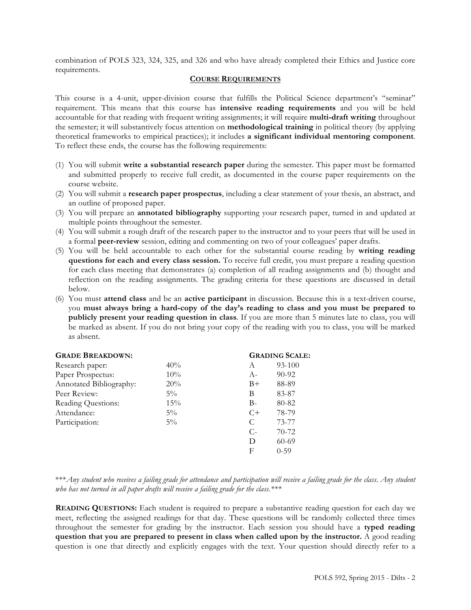combination of POLS 323, 324, 325, and 326 and who have already completed their Ethics and Justice core requirements.

#### **COURSE REQUIREMENTS**

This course is a 4-unit, upper-division course that fulfills the Political Science department's "seminar" requirement. This means that this course has **intensive reading requirements** and you will be held accountable for that reading with frequent writing assignments; it will require **multi-draft writing** throughout the semester; it will substantively focus attention on **methodological training** in political theory (by applying theoretical frameworks to empirical practices); it includes **a significant individual mentoring component***.*  To reflect these ends, the course has the following requirements:

- (1) You will submit **write a substantial research paper** during the semester. This paper must be formatted and submitted properly to receive full credit, as documented in the course paper requirements on the course website.
- (2) You will submit a **research paper prospectus**, including a clear statement of your thesis, an abstract, and an outline of proposed paper.
- (3) You will prepare an **annotated bibliography** supporting your research paper, turned in and updated at multiple points throughout the semester.
- (4) You will submit a rough draft of the research paper to the instructor and to your peers that will be used in a formal **peer-review** session, editing and commenting on two of your colleagues' paper drafts.
- (5) You will be held accountable to each other for the substantial course reading by **writing reading questions for each and every class session.** To receive full credit, you must prepare a reading question for each class meeting that demonstrates (a) completion of all reading assignments and (b) thought and reflection on the reading assignments. The grading criteria for these questions are discussed in detail below.
- (6) You must **attend class** and be an **active participant** in discussion. Because this is a text-driven course, you **must always bring a hard-copy of the day's reading to class and you must be prepared to publicly present your reading question in class**. If you are more than 5 minutes late to class, you will be marked as absent. If you do not bring your copy of the reading with you to class, you will be marked as absent.

| <b>GRADE BREAKDOWN:</b> | <b>GRADING SCALE:</b> |       |           |
|-------------------------|-----------------------|-------|-----------|
| Research paper:         | 40%                   | A     | 93-100    |
| Paper Prospectus:       | 10%                   | $A-$  | $90 - 92$ |
| Annotated Bibliography: | 20%                   | $B+$  | 88-89     |
| Peer Review:            | $5\%$                 | B     | 83-87     |
| Reading Questions:      | 15%                   | $B -$ | 80-82     |
| Attendance:             | $5\%$                 | $C+$  | 78-79     |
| Participation:          | $5\%$                 | C     | 73-77     |
|                         |                       | $C$ - | $70-72$   |
|                         |                       | D     | $60-69$   |
|                         |                       | F     | $0 - 59$  |
|                         |                       |       |           |

\*\*\**Any student who receives a failing grade for attendance and participation will receive a failing grade for the class*. *Any student who has not turned in all paper drafts will receive a failing grade for the class.\*\*\**

**READING QUESTIONS:** Each student is required to prepare a substantive reading question for each day we meet, reflecting the assigned readings for that day. These questions will be randomly collected three times throughout the semester for grading by the instructor. Each session you should have a **typed reading question that you are prepared to present in class when called upon by the instructor.** A good reading question is one that directly and explicitly engages with the text. Your question should directly refer to a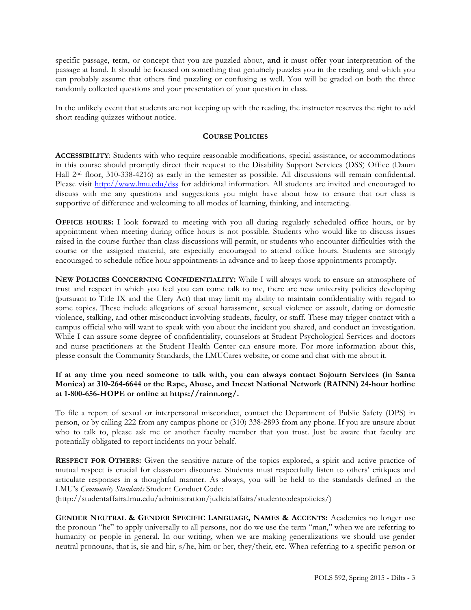specific passage, term, or concept that you are puzzled about, **and** it must offer your interpretation of the passage at hand. It should be focused on something that genuinely puzzles you in the reading, and which you can probably assume that others find puzzling or confusing as well. You will be graded on both the three randomly collected questions and your presentation of your question in class.

In the unlikely event that students are not keeping up with the reading, the instructor reserves the right to add short reading quizzes without notice.

### **COURSE POLICIES**

**ACCESSIBILITY**: Students with who require reasonable modifications, special assistance, or accommodations in this course should promptly direct their request to the Disability Support Services (DSS) Office (Daum Hall 2nd floor, 310-338-4216) as early in the semester as possible. All discussions will remain confidential. Please visit http://www.lmu.edu/dss for additional information. All students are invited and encouraged to discuss with me any questions and suggestions you might have about how to ensure that our class is supportive of difference and welcoming to all modes of learning, thinking, and interacting.

**OFFICE HOURS:** I look forward to meeting with you all during regularly scheduled office hours, or by appointment when meeting during office hours is not possible. Students who would like to discuss issues raised in the course further than class discussions will permit, or students who encounter difficulties with the course or the assigned material, are especially encouraged to attend office hours. Students are strongly encouraged to schedule office hour appointments in advance and to keep those appointments promptly.

**NEW POLICIES CONCERNING CONFIDENTIALITY:** While I will always work to ensure an atmosphere of trust and respect in which you feel you can come talk to me, there are new university policies developing (pursuant to Title IX and the Clery Act) that may limit my ability to maintain confidentiality with regard to some topics. These include allegations of sexual harassment, sexual violence or assault, dating or domestic violence, stalking, and other misconduct involving students, faculty, or staff. These may trigger contact with a campus official who will want to speak with you about the incident you shared, and conduct an investigation. While I can assure some degree of confidentiality, counselors at Student Psychological Services and doctors and nurse practitioners at the Student Health Center can ensure more. For more information about this, please consult the Community Standards, the LMUCares website, or come and chat with me about it.

## **If at any time you need someone to talk with, you can always contact Sojourn Services (in Santa Monica) at 310-264-6644 or the Rape, Abuse, and Incest National Network (RAINN) 24-hour hotline at 1-800-656-HOPE or online at https://rainn.org/.**

To file a report of sexual or interpersonal misconduct, contact the Department of Public Safety (DPS) in person, or by calling 222 from any campus phone or (310) 338-2893 from any phone. If you are unsure about who to talk to, please ask me or another faculty member that you trust. Just be aware that faculty are potentially obligated to report incidents on your behalf.

**RESPECT FOR OTHERS:** Given the sensitive nature of the topics explored, a spirit and active practice of mutual respect is crucial for classroom discourse. Students must respectfully listen to others' critiques and articulate responses in a thoughtful manner. As always, you will be held to the standards defined in the LMU's *Community Standards* Student Conduct Code:

(http://studentaffairs.lmu.edu/administration/judicialaffairs/studentcodespolicies/)

**GENDER NEUTRAL & GENDER SPECIFIC LANGUAGE, NAMES & ACCENTS:** Academics no longer use the pronoun "he" to apply universally to all persons, nor do we use the term "man," when we are referring to humanity or people in general. In our writing, when we are making generalizations we should use gender neutral pronouns, that is, sie and hir, s/he, him or her, they/their, etc. When referring to a specific person or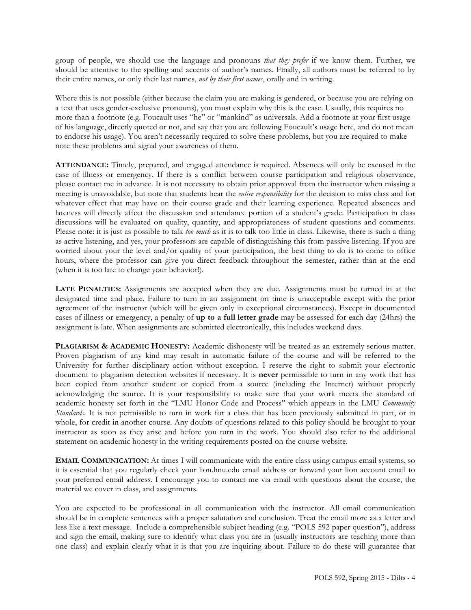group of people, we should use the language and pronouns *that they prefer* if we know them. Further, we should be attentive to the spelling and accents of author's names. Finally, all authors must be referred to by their entire names, or only their last names, *not by their first names*, orally and in writing.

Where this is not possible (either because the claim you are making is gendered, or because you are relying on a text that uses gender-exclusive pronouns), you must explain why this is the case. Usually, this requires no more than a footnote (e.g. Foucault uses "he" or "mankind" as universals. Add a footnote at your first usage of his language, directly quoted or not, and say that you are following Foucault's usage here, and do not mean to endorse his usage). You aren't necessarily required to solve these problems, but you are required to make note these problems and signal your awareness of them.

**ATTENDANCE:** Timely, prepared, and engaged attendance is required. Absences will only be excused in the case of illness or emergency. If there is a conflict between course participation and religious observance, please contact me in advance. It is not necessary to obtain prior approval from the instructor when missing a meeting is unavoidable, but note that students bear the *entire responsibility* for the decision to miss class and for whatever effect that may have on their course grade and their learning experience. Repeated absences and lateness will directly affect the discussion and attendance portion of a student's grade. Participation in class discussions will be evaluated on quality, quantity, and appropriateness of student questions and comments. Please note: it is just as possible to talk *too much* as it is to talk too little in class. Likewise, there is such a thing as active listening, and yes, your professors are capable of distinguishing this from passive listening. If you are worried about your the level and/or quality of your participation, the best thing to do is to come to office hours, where the professor can give you direct feedback throughout the semester, rather than at the end (when it is too late to change your behavior!).

**LATE PENALTIES:** Assignments are accepted when they are due. Assignments must be turned in at the designated time and place. Failure to turn in an assignment on time is unacceptable except with the prior agreement of the instructor (which will be given only in exceptional circumstances). Except in documented cases of illness or emergency, a penalty of **up to a full letter grade** may be assessed for each day (24hrs) the assignment is late. When assignments are submitted electronically, this includes weekend days.

**PLAGIARISM & ACADEMIC HONESTY:** Academic dishonesty will be treated as an extremely serious matter. Proven plagiarism of any kind may result in automatic failure of the course and will be referred to the University for further disciplinary action without exception. I reserve the right to submit your electronic document to plagiarism detection websites if necessary. It is **never** permissible to turn in any work that has been copied from another student or copied from a source (including the Internet) without properly acknowledging the source. It is your responsibility to make sure that your work meets the standard of academic honesty set forth in the "LMU Honor Code and Process" which appears in the LMU *Community Standards*. It is not permissible to turn in work for a class that has been previously submitted in part, or in whole, for credit in another course. Any doubts of questions related to this policy should be brought to your instructor as soon as they arise and before you turn in the work. You should also refer to the additional statement on academic honesty in the writing requirements posted on the course website.

**EMAIL COMMUNICATION:** At times I will communicate with the entire class using campus email systems, so it is essential that you regularly check your lion.lmu.edu email address or forward your lion account email to your preferred email address. I encourage you to contact me via email with questions about the course, the material we cover in class, and assignments.

You are expected to be professional in all communication with the instructor. All email communication should be in complete sentences with a proper salutation and conclusion. Treat the email more as a letter and less like a text message. Include a comprehensible subject heading (e.g. "POLS 592 paper question"), address and sign the email, making sure to identify what class you are in (usually instructors are teaching more than one class) and explain clearly what it is that you are inquiring about. Failure to do these will guarantee that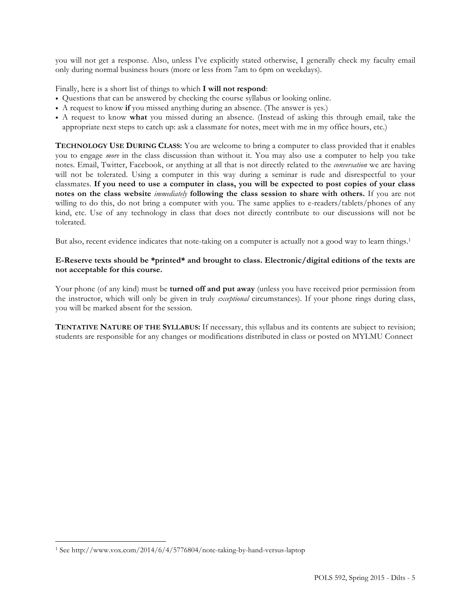you will not get a response. Also, unless I've explicitly stated otherwise, I generally check my faculty email only during normal business hours (more or less from 7am to 6pm on weekdays).

Finally, here is a short list of things to which **I will not respond**:

- Questions that can be answered by checking the course syllabus or looking online.
- A request to know **if** you missed anything during an absence. (The answer is yes.)
- A request to know **what** you missed during an absence. (Instead of asking this through email, take the appropriate next steps to catch up: ask a classmate for notes, meet with me in my office hours, etc.)

**TECHNOLOGY USE DURING CLASS:** You are welcome to bring a computer to class provided that it enables you to engage *more* in the class discussion than without it. You may also use a computer to help you take notes. Email, Twitter, Facebook, or anything at all that is not directly related to the *conversation* we are having will not be tolerated. Using a computer in this way during a seminar is rude and disrespectful to your classmates. **If you need to use a computer in class, you will be expected to post copies of your class notes on the class website** *immediately* **following the class session to share with others.** If you are not willing to do this, do not bring a computer with you. The same applies to e-readers/tablets/phones of any kind, etc. Use of any technology in class that does not directly contribute to our discussions will not be tolerated.

But also, recent evidence indicates that note-taking on a computer is actually not a good way to learn things.<sup>1</sup>

### **E-Reserve texts should be \*printed\* and brought to class. Electronic/digital editions of the texts are not acceptable for this course.**

Your phone (of any kind) must be **turned off and put away** (unless you have received prior permission from the instructor, which will only be given in truly *exceptional* circumstances). If your phone rings during class, you will be marked absent for the session.

**TENTATIVE NATURE OF THE SYLLABUS:** If necessary, this syllabus and its contents are subject to revision; students are responsible for any changes or modifications distributed in class or posted on MYLMU Connect

 $\overline{a}$ 

<sup>1</sup> See http://www.vox.com/2014/6/4/5776804/note-taking-by-hand-versus-laptop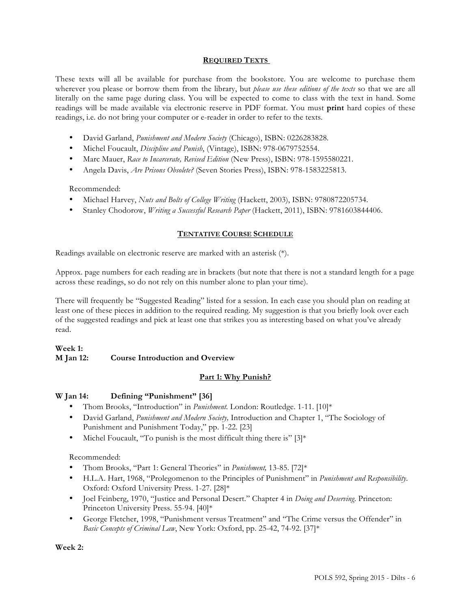## **REQUIRED TEXTS**

These texts will all be available for purchase from the bookstore. You are welcome to purchase them wherever you please or borrow them from the library, but *please use these editions of the texts* so that we are all literally on the same page during class. You will be expected to come to class with the text in hand. Some readings will be made available via electronic reserve in PDF format. You must **print** hard copies of these readings, i.e. do not bring your computer or e-reader in order to refer to the texts.

- David Garland, *Punishment and Modern Society* (Chicago), ISBN: 0226283828.
- Michel Foucault, *Discipline and Punish*, (Vintage), ISBN: 978-0679752554.
- Marc Mauer, *Race to Incarcerate, Revised Edition* (New Press), ISBN: 978-1595580221.
- Angela Davis, *Are Prisons Obsolete?* (Seven Stories Press), ISBN: 978-1583225813.

Recommended:

- Michael Harvey, *Nuts and Bolts of College Writing* (Hackett, 2003), ISBN: 9780872205734.
- Stanley Chodorow, *Writing a Successful Research Paper* (Hackett, 2011), ISBN: 9781603844406.

### **TENTATIVE COURSE SCHEDULE**

Readings available on electronic reserve are marked with an asterisk (\*).

Approx. page numbers for each reading are in brackets (but note that there is not a standard length for a page across these readings, so do not rely on this number alone to plan your time).

There will frequently be "Suggested Reading" listed for a session. In each case you should plan on reading at least one of these pieces in addition to the required reading. My suggestion is that you briefly look over each of the suggested readings and pick at least one that strikes you as interesting based on what you've already read.

### **Week 1: M Jan 12: Course Introduction and Overview**

## **Part 1: Why Punish?**

#### **W Jan 14: Defining "Punishment" [36]**

- Thom Brooks, "Introduction" in *Punishment.* London: Routledge. 1-11. [10]\*
- David Garland, *Punishment and Modern Society,* Introduction and Chapter 1, "The Sociology of Punishment and Punishment Today," pp. 1-22. [23]
- Michel Foucault, "To punish is the most difficult thing there is"  $[3]^*$

Recommended:

- Thom Brooks, "Part 1: General Theories" in *Punishment,* 13-85. [72]\*
- H.L.A. Hart, 1968, "Prolegomenon to the Principles of Punishment" in *Punishment and Responsibility*. Oxford: Oxford University Press. 1-27. [28]\*
- Joel Feinberg, 1970, "Justice and Personal Desert." Chapter 4 in *Doing and Deserving*. Princeton: Princeton University Press. 55-94. [40]\*
- George Fletcher, 1998, "Punishment versus Treatment" and "The Crime versus the Offender" in *Basic Concepts of Criminal Law*, New York: Oxford, pp. 25-42, 74-92. [37]\*

**Week 2:**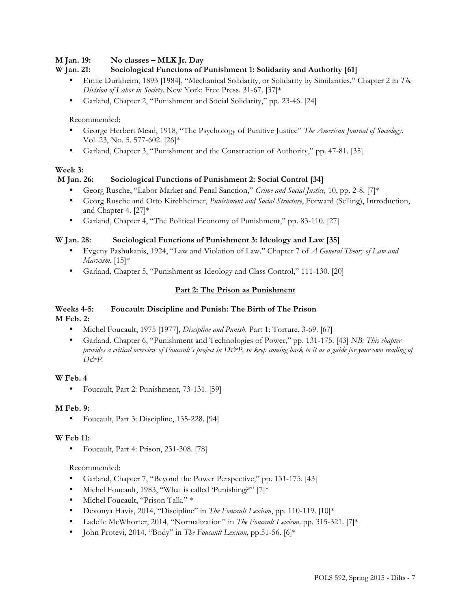## **M Jan. 19: No classes – MLK Jr. Day**

## **W Jan. 21: Sociological Functions of Punishment 1: Solidarity and Authority [61]**

- Emile Durkheim, 1893 [1984], "Mechanical Solidarity, or Solidarity by Similarities." Chapter 2 in *The Division of Labor in Society*. New York: Free Press. 31-67. [37]\*
- Garland, Chapter 2, "Punishment and Social Solidarity," pp. 23-46. [24]

### Recommended:

- George Herbert Mead, 1918, "The Psychology of Punitive Justice" *The American Journal of Sociology*. Vol. 23, No. 5. 577-602. [26]\*
- Garland, Chapter 3, "Punishment and the Construction of Authority," pp. 47-81. [35]

## **Week 3:**

## **M Jan. 26: Sociological Functions of Punishment 2: Social Control [34]**

- Georg Rusche, "Labor Market and Penal Sanction," *Crime and Social Justice,* 10, pp. 2-8. [7]\*
- Georg Rusche and Otto Kirchheimer, *Punishment and Social Structure*, Forward (Selling), Introduction, and Chapter 4. [27]\*
- Garland, Chapter 4, "The Political Economy of Punishment," pp. 83-110. [27]

## **W Jan. 28: Sociological Functions of Punishment 3: Ideology and Law [35]**

- Evgeny Pashukanis, 1924, "Law and Violation of Law." Chapter 7 of *A General Theory of Law and Marxism*. [15]\*
- Garland, Chapter 5, "Punishment as Ideology and Class Control," 111-130. [20]

## **Part 2: The Prison as Punishment**

## **Weeks 4-5: Foucault: Discipline and Punish: The Birth of The Prison M Feb. 2:**

- Michel Foucault, 1975 [1977], *Discipline and Punish*. Part 1: Torture, 3-69. [67]
- Garland, Chapter 6, "Punishment and Technologies of Power," pp. 131-175. [43] *NB: This chapter provides a critical overview of Foucault's project in D&P, so keep coming back to it as a guide for your own reading of D&P.*

## **W Feb. 4**

• Foucault, Part 2: Punishment, 73-131. [59]

#### **M Feb. 9:**

• Foucault, Part 3: Discipline, 135-228. [94]

#### **W Feb 11:**

• Foucault, Part 4: Prison, 231-308. [78]

#### Recommended:

- Garland, Chapter 7, "Beyond the Power Perspective," pp. 131-175. [43]
- Michel Foucault, 1983, "What is called 'Punishing?'" [7]\*
- Michel Foucault, "Prison Talk." \*
- Devonya Havis, 2014, "Discipline" in *The Foucault Lexicon*, pp. 110-119. [10]\*
- Ladelle McWhorter, 2014, "Normalization" in *The Foucault Lexicon,* pp. 315-321. [7]\*
- John Protevi, 2014, "Body" in *The Foucault Lexicon,* pp.51-56. [6]\*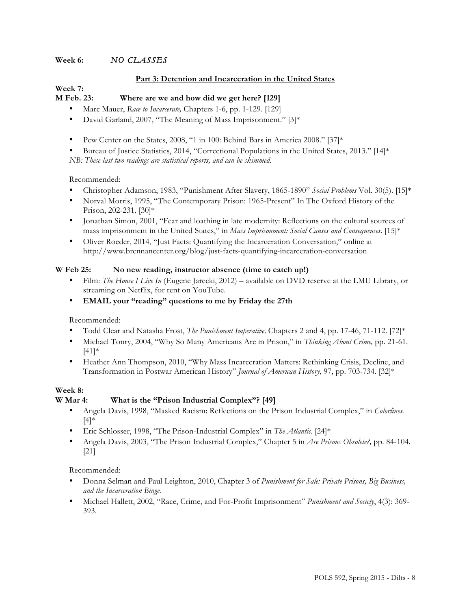## **Week 6:** *NO CLASSES*

### **Part 3: Detention and Incarceration in the United States**

#### **Week 7: M Feb. 23: Where are we and how did we get here? [129]**

- Marc Mauer, *Race to Incarcerate,* Chapters 1-6, pp. 1-129. [129]
- David Garland, 2007, "The Meaning of Mass Imprisonment." [3]\*
- Pew Center on the States, 2008, "1 in 100: Behind Bars in America 2008." [37]\*

• Bureau of Justice Statistics, 2014, "Correctional Populations in the United States, 2013." [14]\*

*NB: These last two readings are statistical reports, and can be skimmed.*

#### Recommended:

- Christopher Adamson, 1983, "Punishment After Slavery, 1865-1890" *Social Problems* Vol. 30(5). [15]\*
- Norval Morris, 1995, "The Contemporary Prison: 1965-Present" In The Oxford History of the Prison, 202-231. [30]\*
- Jonathan Simon, 2001, "Fear and loathing in late modernity: Reflections on the cultural sources of mass imprisonment in the United States," in *Mass Imprisonment: Social Causes and Consequences*. [15]\*
- Oliver Roeder, 2014, "Just Facts: Quantifying the Incarceration Conversation," online at http://www.brennancenter.org/blog/just-facts-quantifying-incarceration-conversation

#### **W Feb 25: No new reading, instructor absence (time to catch up!)**

- Film: *The House I Live In* (Eugene Jarecki, 2012) available on DVD reserve at the LMU Library, or streaming on Netflix, for rent on YouTube.
- **EMAIL your "reading" questions to me by Friday the 27th**

Recommended:

- Todd Clear and Natasha Frost, *The Punishment Imperative,* Chapters 2 and 4, pp. 17-46, 71-112. [72]\*
- Michael Tonry, 2004, "Why So Many Americans Are in Prison," in *Thinking About Crime,* pp. 21-61. [41]\*
- Heather Ann Thompson, 2010, "Why Mass Incarceration Matters: Rethinking Crisis, Decline, and Transformation in Postwar American History" *Journal of American History*, 97, pp. 703-734. [32]\*

## **Week 8:**

## **W Mar 4: What is the "Prison Industrial Complex"? [49]**

- Angela Davis, 1998, "Masked Racism: Reflections on the Prison Industrial Complex," in *Colorlines.*  [4]\*
- Eric Schlosser, 1998, "The Prison-Industrial Complex" in *The Atlantic*. [24]\*
- Angela Davis, 2003, "The Prison Industrial Complex," Chapter 5 in *Are Prisons Obsolete?,* pp. 84-104. [21]

Recommended:

- Donna Selman and Paul Leighton, 2010, Chapter 3 of *Punishment for Sale: Private Prisons, Big Business, and the Incarceration Binge.*
- Michael Hallett, 2002, "Race, Crime, and For-Profit Imprisonment" *Punishment and Society*, 4(3): 369- 393.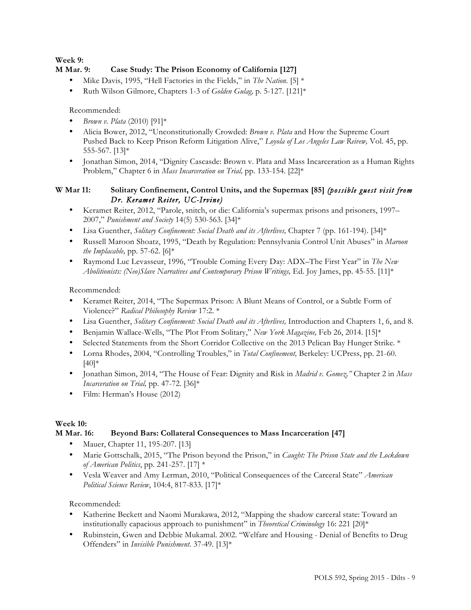## **Week 9:**

# **M Mar. 9: Case Study: The Prison Economy of California [127]**

- Mike Davis, 1995, "Hell Factories in the Fields," in *The Nation.* [5] \*
- Ruth Wilson Gilmore, Chapters 1-3 of *Golden Gulag,* p. 5-127. [121]\*

Recommended:

- *Brown v. Plata* (2010) [91]\*
- Alicia Bower, 2012, "Unconstitutionally Crowded: *Brown v. Plata* and How the Supreme Court Pushed Back to Keep Prison Reform Litigation Alive," *Loyola of Los Angeles Law Reivew,* Vol. 45, pp. 555-567. [13]\*
- Jonathan Simon, 2014, "Dignity Cascasde: Brown v. Plata and Mass Incarceration as a Human Rights Problem," Chapter 6 in *Mass Incarceration on Trial,* pp. 133-154. [22]\*

## **W Mar 11: Solitary Confinement, Control Units, and the Supermax [85]** *(possible guest visit from Dr. Keramet Reiter, UC-Irvine)*

- Keramet Reiter, 2012, "Parole, snitch, or die: California's supermax prisons and prisoners, 1997– 2007," *Punishment and Society* 14(5) 530-563. [34]\*
- Lisa Guenther, *Solitary Confinement: Social Death and its Afterlives*, Chapter 7 (pp. 161-194). [34]\*
- Russell Maroon Shoatz, 1995, "Death by Regulation: Pennsylvania Control Unit Abuses" in *Maroon the Implacable,* pp. 57-62. [6]\*
- Raymond Luc Levasseur, 1996, "Trouble Coming Every Day: ADX–The First Year" in *The New Abolitionists: (Neo)Slave Narratives and Contemporary Prison Writings,* Ed. Joy James, pp. 45-55. [11]\*

Recommended:

- Keramet Reiter, 2014, "The Supermax Prison: A Blunt Means of Control, or a Subtle Form of Violence?" *Radical Philosophy Review* 17:2. \*
- Lisa Guenther, *Solitary Confinement: Social Death and its Afterlives,* Introduction and Chapters 1, 6, and 8.
- Benjamin Wallace-Wells, "The Plot From Solitary," *New York Magazine,* Feb 26, 2014. [15]\*
- Selected Statements from the Short Corridor Collective on the 2013 Pelican Bay Hunger Strike. \*
- Lorna Rhodes, 2004, "Controlling Troubles," in *Total Confinement,* Berkeley: UCPress, pp. 21-60.  $[40]$ \*
- Jonathan Simon, 2014, "The House of Fear: Dignity and Risk in *Madrid v. Gomez,"* Chapter 2 in *Mass Incarceration on Trial,* pp. 47-72. [36]\*
- Film: Herman's House (2012)

## **Week 10:**

## **M Mar. 16: Beyond Bars: Collateral Consequences to Mass Incarceration [47]**

- Mauer, Chapter 11, 195-207. [13]
- Marie Gottschalk, 2015, "The Prison beyond the Prison," in *Caught: The Prison State and the Lockdown of American Politics*, pp. 241-257. [17] \*
- Vesla Weaver and Amy Lerman, 2010, "Political Consequences of the Carceral State" *American Political Science Review*, 104:4, 817-833. [17]\*

Recommended:

- Katherine Beckett and Naomi Murakawa, 2012, "Mapping the shadow carceral state: Toward an institutionally capacious approach to punishment" in *Theoretical Criminology* 16: 221 [20]\*
- Rubinstein, Gwen and Debbie Mukamal. 2002. "Welfare and Housing Denial of Benefits to Drug Offenders" in *Invisible Punishment*. 37-49. [13]\*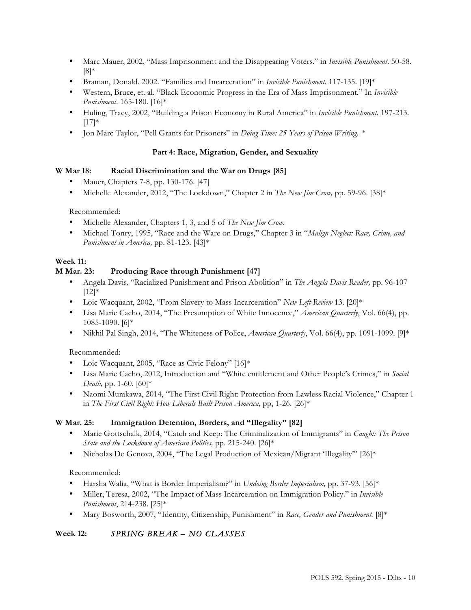- Marc Mauer, 2002, "Mass Imprisonment and the Disappearing Voters." in *Invisible Punishment*. 50-58. [8]\*
- Braman, Donald. 2002. "Families and Incarceration" in *Invisible Punishment*. 117-135. [19]\*
- Western, Bruce, et. al. "Black Economic Progress in the Era of Mass Imprisonment." In *Invisible Punishment*. 165-180. [16]\*
- Huling, Tracy, 2002, "Building a Prison Economy in Rural America" in *Invisible Punishment*. 197-213.  $[17]$ \*
- Jon Marc Taylor, "Pell Grants for Prisoners" in *Doing Time: 25 Years of Prison Writing. \**

## **Part 4: Race, Migration, Gender, and Sexuality**

## **W Mar 18: Racial Discrimination and the War on Drugs [85]**

- Mauer, Chapters 7-8, pp. 130-176. [47]
- Michelle Alexander, 2012, "The Lockdown," Chapter 2 in *The New Jim Crow,* pp. 59-96. [38]\*

Recommended:

- Michelle Alexander, Chapters 1, 3, and 5 of *The New Jim Crow.*
- Michael Tonry, 1995, "Race and the Ware on Drugs," Chapter 3 in "*Malign Neglect: Race, Crime, and Punishment in America,* pp. 81-123. [43]\*

## **Week 11:**

## **M Mar. 23: Producing Race through Punishment [47]**

- Angela Davis, "Racialized Punishment and Prison Abolition" in *The Angela Davis Reader,* pp. 96-107  $[12]*$
- Loic Wacquant, 2002, "From Slavery to Mass Incarceration" *New Left Review* 13. [20]\*
- Lisa Marie Cacho, 2014, "The Presumption of White Innocence," *American Quarterly*, Vol. 66(4), pp. 1085-1090. [6]\*
- Nikhil Pal Singh, 2014, "The Whiteness of Police, *American Quarterly*, Vol. 66(4), pp. 1091-1099. [9]\*

Recommended:

- Loic Wacquant, 2005, "Race as Civic Felony" [16]\*
- Lisa Marie Cacho, 2012, Introduction and "White entitlement and Other People's Crimes," in *Social Death,* pp. 1-60. [60]\*
- Naomi Murakawa, 2014, "The First Civil Right: Protection from Lawless Racial Violence," Chapter 1 in *The First Civil Right: How Liberals Built Prison America*, pp, 1-26. [26]\*

## **W Mar. 25: Immigration Detention, Borders, and "Illegality" [82]**

- Marie Gottschalk, 2014, "Catch and Keep: The Criminalization of Immigrants" in *Caught: The Prison State and the Lockdown of American Politics,* pp. 215-240. [26]\*
- Nicholas De Genova, 2004, "The Legal Production of Mexican/Migrant 'Illegality'" [26]\*

Recommended:

- Harsha Walia, "What is Border Imperialism?" in *Undoing Border Imperialism,* pp. 37-93. [56]\*
- Miller, Teresa, 2002, "The Impact of Mass Incarceration on Immigration Policy." in *Invisible Punishment*, 214-238. [25]\*
- Mary Bosworth, 2007, "Identity, Citizenship, Punishment" in *Race, Gender and Punishment.* [8]\*

# **Week 12:** *SPRING BREAK – NO CLASSES*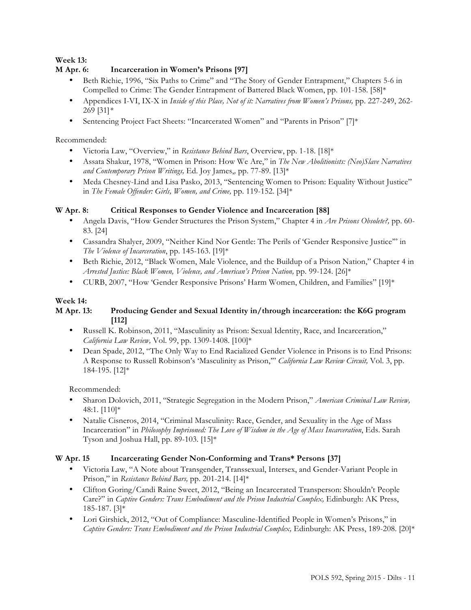# **Week 13:**

# **M Apr. 6: Incarceration in Women's Prisons [97]**

- Beth Richie, 1996, "Six Paths to Crime" and "The Story of Gender Entrapment," Chapters 5-6 in Compelled to Crime: The Gender Entrapment of Battered Black Women, pp. 101-158. [58]\*
- Appendices I-VI, IX-X in *Inside of this Place, Not of it: Narratives from Women's Prisons, pp.* 227-249, 262-269 [31]*\**
- Sentencing Project Fact Sheets: "Incarcerated Women" and "Parents in Prison" [7]\*

## Recommended:

- Victoria Law, "Overview," in *Resistance Behind Bars*, Overview, pp. 1-18. [18]\*
- Assata Shakur, 1978, "Women in Prison: How We Are," in *The New Abolitionists: (Neo)Slave Narratives and Contemporary Prison Writings,* Ed. Joy James,*,* pp. 77-89. [13]\*
- Meda Chesney-Lind and Lisa Pasko, 2013, "Sentencing Women to Prison: Equality Without Justice" in *The Female Offender: Girls, Women, and Crime,* pp. 119-152. [34]\*

## **W Apr. 8: Critical Responses to Gender Violence and Incarceration [88]**

- Angela Davis, "How Gender Structures the Prison System," Chapter 4 in *Are Prisons Obsolete?,* pp. 60- 83. [24]
- Cassandra Shalyer, 2009, "Neither Kind Nor Gentle: The Perils of 'Gender Responsive Justice'" in *The Violence of Incarceration*, pp. 145-163. [19]\*
- Beth Richie, 2012, "Black Women, Male Violence, and the Buildup of a Prison Nation," Chapter 4 in *Arrested Justice: Black Women, Violence, and American's Prison Nation,* pp. 99-124. [26]\*
- CURB, 2007, "How 'Gender Responsive Prisons' Harm Women, Children, and Families" [19]\*

## **Week 14:**

## **M Apr. 13: Producing Gender and Sexual Identity in/through incarceration: the K6G program [112]**

- Russell K. Robinson, 2011, "Masculinity as Prison: Sexual Identity, Race, and Incarceration," *California Law Review,* Vol. 99, pp. 1309-1408. [100]\*
- Dean Spade, 2012, "The Only Way to End Racialized Gender Violence in Prisons is to End Prisons: A Response to Russell Robinson's 'Masculinity as Prison,'" *California Law Review Circuit,* Vol. 3, pp. 184-195. [12]\*

Recommended:

- Sharon Dolovich, 2011, "Strategic Segregation in the Modern Prison," *American Criminal Law Review,*  48:1. [110]\*
- Natalie Cisneros, 2014, "Criminal Masculinity: Race, Gender, and Sexuality in the Age of Mass Incarceration" in *Philosophy Imprisoned: The Love of Wisdom in the Age of Mass Incarceration*, Eds. Sarah Tyson and Joshua Hall, pp. 89-103. [15]\*

## **W Apr. 15 Incarcerating Gender Non-Conforming and Trans\* Persons [37]**

- Victoria Law, "A Note about Transgender, Transsexual, Intersex, and Gender-Variant People in Prison," in *Resistance Behind Bars,* pp. 201-214. [14]\*
- Clifton Goring/Candi Raine Sweet, 2012, "Being an Incarcerated Transperson: Shouldn't People Care?" in *Captive Genders: Trans Embodiment and the Prison Industrial Complex*, Edinburgh: AK Press, 185-187. [3]\*
- Lori Girshick, 2012, "Out of Compliance: Masculine-Identified People in Women's Prisons," in *Captive Genders: Trans Embodiment and the Prison Industrial Complex,* Edinburgh: AK Press, 189-208. [20]\*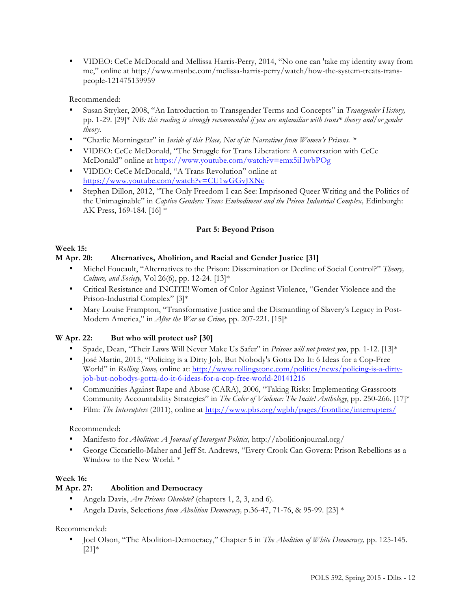• VIDEO: CeCe McDonald and Mellissa Harris-Perry, 2014, "No one can 'take my identity away from me," online at http://www.msnbc.com/melissa-harris-perry/watch/how-the-system-treats-transpeople-121475139959

Recommended:

- Susan Stryker, 2008, "An Introduction to Transgender Terms and Concepts" in *Transgender History,*  pp. 1-29. [29]\* *NB: this reading is strongly recommended if you are unfamiliar with trans\* theory and/or gender theory.*
- "Charlie Morningstar" in *Inside of this Place, Not of it: Narratives from Women's Prisons. \**
- VIDEO: CeCe McDonald, "The Struggle for Trans Liberation: A conversation with CeCe McDonald" online at https://www.youtube.com/watch?v=emx5iHwbPOg
- VIDEO: CeCe McDonald, "A Trans Revolution" online at https://www.youtube.com/watch?v=CU1wGGvJXNc
- Stephen Dillon, 2012, "The Only Freedom I can See: Imprisoned Queer Writing and the Politics of the Unimaginable" in *Captive Genders: Trans Embodiment and the Prison Industrial Complex*, Edinburgh: AK Press, 169-184. [16] \*

## **Part 5: Beyond Prison**

# **Week 15:**

## **M Apr. 20: Alternatives, Abolition, and Racial and Gender Justice [31]**

- Michel Foucault, "Alternatives to the Prison: Dissemination or Decline of Social Control?" *Theory, Culture, and Society,* Vol 26(6), pp. 12-24. [13]\*
- Critical Resistance and INCITE! Women of Color Against Violence, "Gender Violence and the Prison-Industrial Complex" [3]\*
- Mary Louise Frampton, "Transformative Justice and the Dismantling of Slavery's Legacy in Post-Modern America," in *After the War on Crime,* pp. 207-221. [15]\*

## **W Apr. 22: But who will protect us? [30]**

- Spade, Dean, "Their Laws Will Never Make Us Safer" in *Prisons will not protect you*, pp. 1-12. [13]\*
- José Martin, 2015, "Policing is a Dirty Job, But Nobody's Gotta Do It: 6 Ideas for a Cop-Free World" in *Rolling Stone,* online at: http://www.rollingstone.com/politics/news/policing-is-a-dirtyjob-but-nobodys-gotta-do-it-6-ideas-for-a-cop-free-world-20141216
- Communities Against Rape and Abuse (CARA), 2006, "Taking Risks: Implementing Grassroots Community Accountability Strategies" in *The Color of Violence: The Incite! Anthology*, pp. 250-266. [17]\*
- Film: *The Interrupters* (2011), online at http://www.pbs.org/wgbh/pages/frontline/interrupters/

## Recommended:

- Manifesto for *Abolition: A Journal of Insurgent Politics,* http://abolitionjournal.org/
- George Ciccariello-Maher and Jeff St. Andrews, "Every Crook Can Govern: Prison Rebellions as a Window to the New World. \*

## **Week 16:**

# **M Apr. 27: Abolition and Democracy**

- Angela Davis, *Are Prisons Obsolete?* (chapters 1, 2, 3, and 6).
- Angela Davis, Selections *from Abolition Democracy,* p.36-47, 71-76, & 95-99. [23] \*

## Recommended:

• Joel Olson, "The Abolition-Democracy," Chapter 5 in *The Abolition of White Democracy,* pp. 125-145.  $[21]$ \*